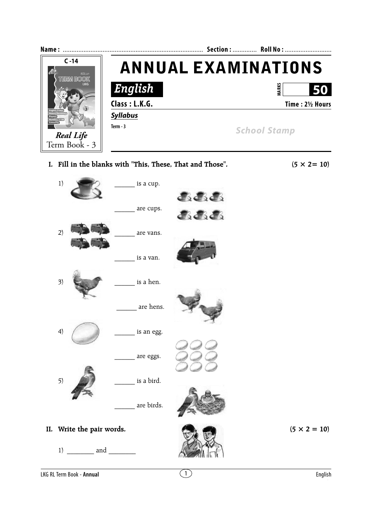

**I. Fill in the blanks with "This, These, That and Those".**  $(5 \times 2 = 10)$ 

1)  $\qquad \qquad$  is a cup. **J.J.J.** are cups. 小小小  $2)$   $\qquad \qquad$  are vans. is a van.  $3)$  is a hen. \_\_\_\_\_\_ are hens.  $4)$   $\left($  is an egg. are eggs.  $5)$  is a bird. are birds. **II.** Write the pair words.  $(5 \times 2 = 10)$ 1)  $\_\_$  and  $\_\_$ 



LKG RL Term Book - **Annual** English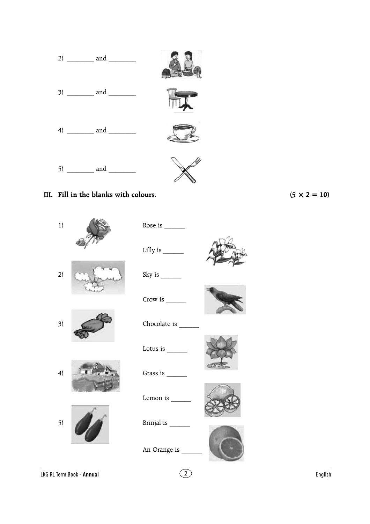

## **III.** Fill in the blanks with colours.  $(5 \times 2 = 10)$

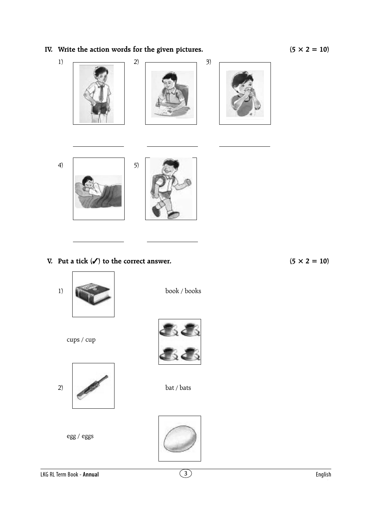## **IV.** Write the action words for the given pictures.  $(5 \times 2 = 10)$



## **V.** Put a tick  $(\checkmark)$  to the correct answer. (5  $\times$  2 = 10)

 $1)$  book / books





egg / eggs